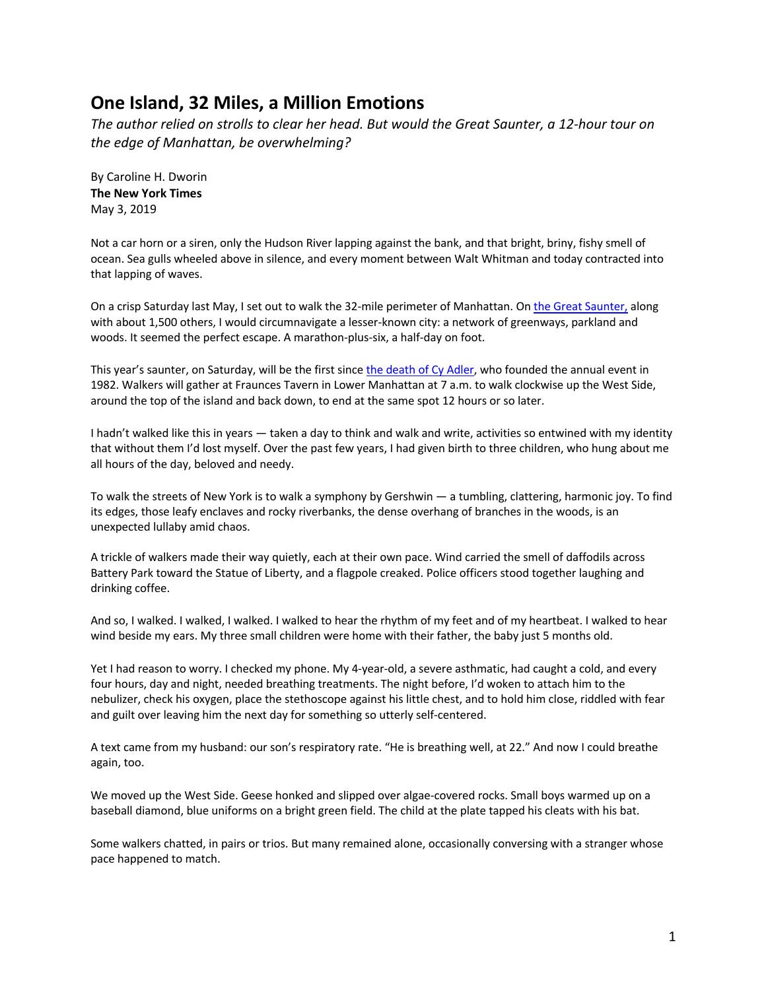## **One Island, 32 Miles, a Million Emotions**

*The author relied on strolls to clear her head. But would the Great Saunter, a 12-hour tour on the edge of Manhattan, be overwhelming?*

By Caroline H. Dworin **The New York Times** May 3, 2019

Not a car horn or a siren, only the Hudson River lapping against the bank, and that bright, briny, fishy smell of ocean. Sea gulls wheeled above in silence, and every moment between Walt Whitman and today contracted into that lapping of waves.

On a crisp Saturday last May, I set out to walk the 32-mile perimeter of Manhattan. On the Great Saunter, along with about 1,500 others, I would circumnavigate a lesser-known city: a network of greenways, parkland and woods. It seemed the perfect escape. A marathon-plus-six, a half-day on foot.

This year's saunter, on Saturday, will be the first since the death of Cy Adler, who founded the annual event in 1982. Walkers will gather at Fraunces Tavern in Lower Manhattan at 7 a.m. to walk clockwise up the West Side, around the top of the island and back down, to end at the same spot 12 hours or so later.

I hadn't walked like this in years — taken a day to think and walk and write, activities so entwined with my identity that without them I'd lost myself. Over the past few years, I had given birth to three children, who hung about me all hours of the day, beloved and needy.

To walk the streets of New York is to walk a symphony by Gershwin — a tumbling, clattering, harmonic joy. To find its edges, those leafy enclaves and rocky riverbanks, the dense overhang of branches in the woods, is an unexpected lullaby amid chaos.

A trickle of walkers made their way quietly, each at their own pace. Wind carried the smell of daffodils across Battery Park toward the Statue of Liberty, and a flagpole creaked. Police officers stood together laughing and drinking coffee.

And so, I walked. I walked, I walked. I walked to hear the rhythm of my feet and of my heartbeat. I walked to hear wind beside my ears. My three small children were home with their father, the baby just 5 months old.

Yet I had reason to worry. I checked my phone. My 4-year-old, a severe asthmatic, had caught a cold, and every four hours, day and night, needed breathing treatments. The night before, I'd woken to attach him to the nebulizer, check his oxygen, place the stethoscope against his little chest, and to hold him close, riddled with fear and guilt over leaving him the next day for something so utterly self-centered.

A text came from my husband: our son's respiratory rate. "He is breathing well, at 22." And now I could breathe again, too.

We moved up the West Side. Geese honked and slipped over algae-covered rocks. Small boys warmed up on a baseball diamond, blue uniforms on a bright green field. The child at the plate tapped his cleats with his bat.

Some walkers chatted, in pairs or trios. But many remained alone, occasionally conversing with a stranger whose pace happened to match.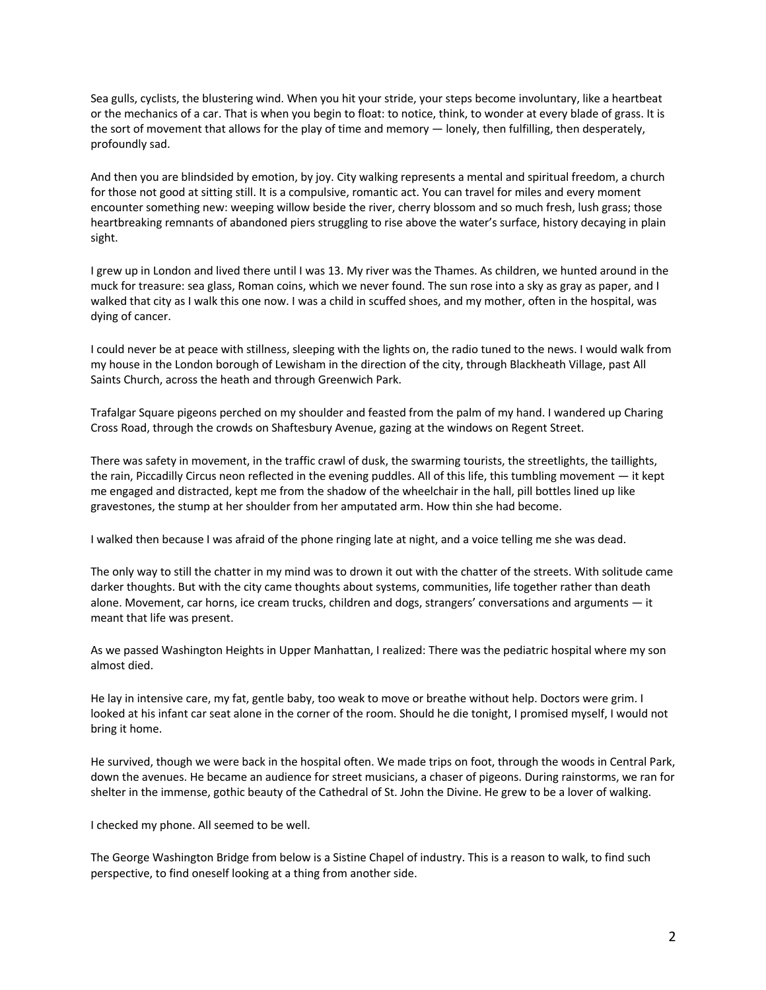Sea gulls, cyclists, the blustering wind. When you hit your stride, your steps become involuntary, like a heartbeat or the mechanics of a car. That is when you begin to float: to notice, think, to wonder at every blade of grass. It is the sort of movement that allows for the play of time and memory — lonely, then fulfilling, then desperately, profoundly sad.

And then you are blindsided by emotion, by joy. City walking represents a mental and spiritual freedom, a church for those not good at sitting still. It is a compulsive, romantic act. You can travel for miles and every moment encounter something new: weeping willow beside the river, cherry blossom and so much fresh, lush grass; those heartbreaking remnants of abandoned piers struggling to rise above the water's surface, history decaying in plain sight.

I grew up in London and lived there until I was 13. My river was the Thames. As children, we hunted around in the muck for treasure: sea glass, Roman coins, which we never found. The sun rose into a sky as gray as paper, and I walked that city as I walk this one now. I was a child in scuffed shoes, and my mother, often in the hospital, was dying of cancer.

I could never be at peace with stillness, sleeping with the lights on, the radio tuned to the news. I would walk from my house in the London borough of Lewisham in the direction of the city, through Blackheath Village, past All Saints Church, across the heath and through Greenwich Park.

Trafalgar Square pigeons perched on my shoulder and feasted from the palm of my hand. I wandered up Charing Cross Road, through the crowds on Shaftesbury Avenue, gazing at the windows on Regent Street.

There was safety in movement, in the traffic crawl of dusk, the swarming tourists, the streetlights, the taillights, the rain, Piccadilly Circus neon reflected in the evening puddles. All of this life, this tumbling movement — it kept me engaged and distracted, kept me from the shadow of the wheelchair in the hall, pill bottles lined up like gravestones, the stump at her shoulder from her amputated arm. How thin she had become.

I walked then because I was afraid of the phone ringing late at night, and a voice telling me she was dead.

The only way to still the chatter in my mind was to drown it out with the chatter of the streets. With solitude came darker thoughts. But with the city came thoughts about systems, communities, life together rather than death alone. Movement, car horns, ice cream trucks, children and dogs, strangers' conversations and arguments — it meant that life was present.

As we passed Washington Heights in Upper Manhattan, I realized: There was the pediatric hospital where my son almost died.

He lay in intensive care, my fat, gentle baby, too weak to move or breathe without help. Doctors were grim. I looked at his infant car seat alone in the corner of the room. Should he die tonight, I promised myself, I would not bring it home.

He survived, though we were back in the hospital often. We made trips on foot, through the woods in Central Park, down the avenues. He became an audience for street musicians, a chaser of pigeons. During rainstorms, we ran for shelter in the immense, gothic beauty of the Cathedral of St. John the Divine. He grew to be a lover of walking.

I checked my phone. All seemed to be well.

The George Washington Bridge from below is a Sistine Chapel of industry. This is a reason to walk, to find such perspective, to find oneself looking at a thing from another side.